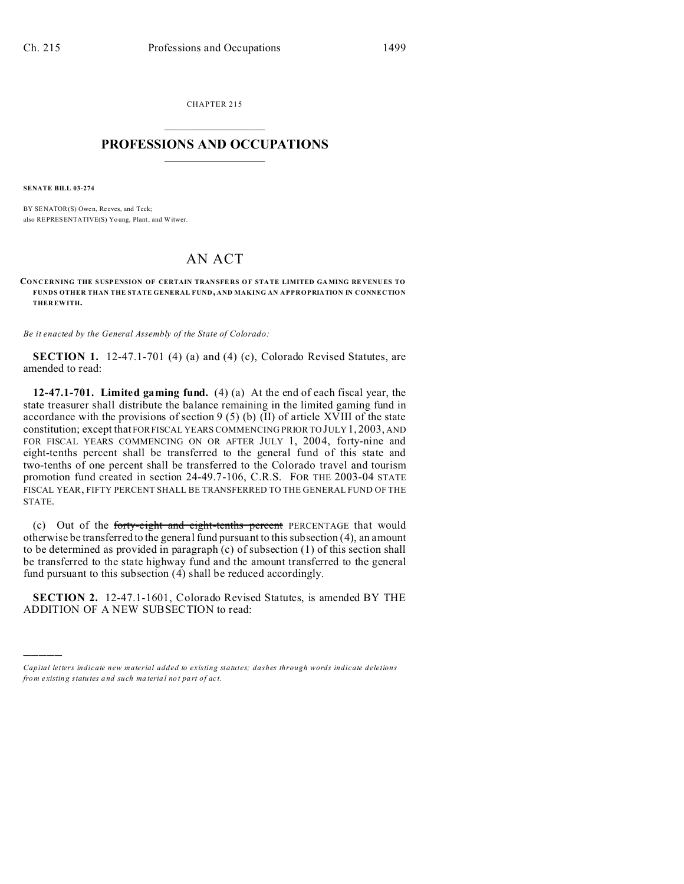CHAPTER 215  $\overline{\phantom{a}}$  , where  $\overline{\phantom{a}}$ 

## **PROFESSIONS AND OCCUPATIONS**  $\frac{1}{2}$  ,  $\frac{1}{2}$  ,  $\frac{1}{2}$  ,  $\frac{1}{2}$  ,  $\frac{1}{2}$  ,  $\frac{1}{2}$  ,  $\frac{1}{2}$

**SENATE BILL 03-274**

)))))

BY SENATOR(S) Owen, Reeves, and Teck; also REPRESENTATIVE(S) Yo ung, Plant, and Witwer.

## AN ACT

**CONCERNING THE SUSPENSION OF CERTAIN TRANSFERS OF STATE LIMITED GAMING REVENUES TO FUNDS OTHER THAN THE STATE GENERAL FUND , AND MAKING AN APPROPRIATION IN CONNECTION THER EWITH.**

*Be it enacted by the General Assembly of the State of Colorado:*

**SECTION 1.** 12-47.1-701 (4) (a) and (4) (c), Colorado Revised Statutes, are amended to read:

**12-47.1-701. Limited gaming fund.** (4) (a) At the end of each fiscal year, the state treasurer shall distribute the balance remaining in the limited gaming fund in accordance with the provisions of section 9 (5) (b)  $(II)$  of article XVIII of the state constitution; except that FOR FISCAL YEARS COMMENCING PRIOR TO JULY 1, 2003, AND FOR FISCAL YEARS COMMENCING ON OR AFTER JULY 1, 2004, forty-nine and eight-tenths percent shall be transferred to the general fund of this state and two-tenths of one percent shall be transferred to the Colorado travel and tourism promotion fund created in section 24-49.7-106, C.R.S. FOR THE 2003-04 STATE FISCAL YEAR, FIFTY PERCENT SHALL BE TRANSFERRED TO THE GENERAL FUND OF THE STATE.

(c) Out of the forty-eight and eight-tenths percent PERCENTAGE that would otherwise be transferred to the general fund pursuant to this subsection (4), an amount to be determined as provided in paragraph (c) of subsection (1) of this section shall be transferred to the state highway fund and the amount transferred to the general fund pursuant to this subsection (4) shall be reduced accordingly.

**SECTION 2.** 12-47.1-1601, Colorado Revised Statutes, is amended BY THE ADDITION OF A NEW SUBSECTION to read:

*Capital letters indicate new material added to existing statutes; dashes through words indicate deletions from e xistin g statu tes a nd such ma teria l no t pa rt of ac t.*